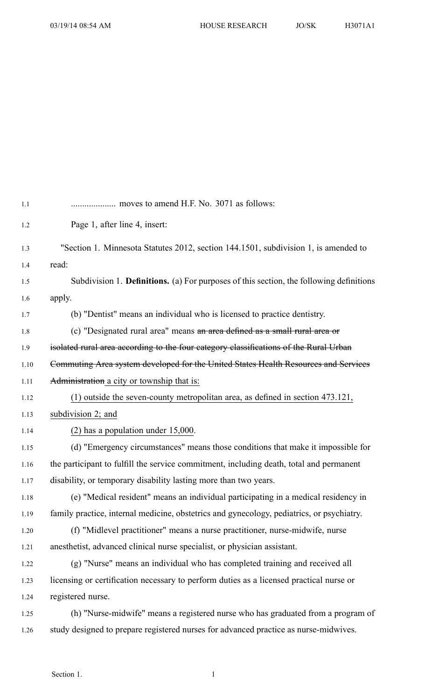| 1.1      |                                                                                           |
|----------|-------------------------------------------------------------------------------------------|
| 1.2      | Page 1, after line 4, insert:                                                             |
| 1.3      | "Section 1. Minnesota Statutes 2012, section 144.1501, subdivision 1, is amended to       |
| 1.4      | read:                                                                                     |
| 1.5      | Subdivision 1. Definitions. (a) For purposes of this section, the following definitions   |
| 1.6      | apply.                                                                                    |
| 1.7      | (b) "Dentist" means an individual who is licensed to practice dentistry.                  |
| 1.8      | (c) "Designated rural area" means an area defined as a small rural area or                |
| 1.9      | isolated rural area according to the four category classifications of the Rural Urban     |
| 1.10     | Commuting Area system developed for the United States Health Resources and Services       |
| 1.11     | Administration a city or township that is:                                                |
| 1.12     | $(1)$ outside the seven-county metropolitan area, as defined in section 473.121,          |
| 1.13     | subdivision 2; and                                                                        |
| 1.14     | $(2)$ has a population under 15,000.                                                      |
| 1.15     | (d) "Emergency circumstances" means those conditions that make it impossible for          |
| 1.16     | the participant to fulfill the service commitment, including death, total and permanent   |
| 1.17     | disability, or temporary disability lasting more than two years.                          |
| 1.18     | (e) "Medical resident" means an individual participating in a medical residency in        |
| 1.19     | family practice, internal medicine, obstetrics and gynecology, pediatrics, or psychiatry. |
| $1.20\,$ | (f) "Midlevel practitioner" means a nurse practitioner, nurse-midwife, nurse              |
| 1.21     | anesthetist, advanced clinical nurse specialist, or physician assistant.                  |
| 1.22     | (g) "Nurse" means an individual who has completed training and received all               |
| 1.23     | licensing or certification necessary to perform duties as a licensed practical nurse or   |
| 1.24     | registered nurse.                                                                         |
| 1.25     | (h) "Nurse-midwife" means a registered nurse who has graduated from a program of          |
| 1.26     | study designed to prepare registered nurses for advanced practice as nurse-midwives.      |
|          |                                                                                           |